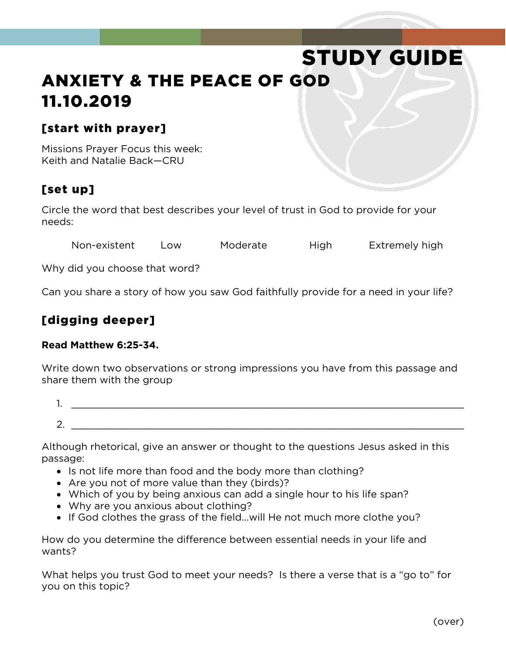# STUDY GUIDE ANXIETY & THE PEACE OF GOD 11.10.2019

#### [start with prayer]

Missions Prayer Focus this week: Keith and Natalie Back—CRU

### [set up]

Circle the word that best describes your level of trust in God to provide for your needs:

Non-existent Low Moderate High Extremely high

Why did you choose that word?

Can you share a story of how you saw God faithfully provide for a need in your life?

#### [digging deeper]

#### **Read Matthew 6:25-34.**

Write down two observations or strong impressions you have from this passage and share them with the group

1. \_\_\_\_\_\_\_\_\_\_\_\_\_\_\_\_\_\_\_\_\_\_\_\_\_\_\_\_\_\_\_\_\_\_\_\_\_\_\_\_\_\_\_\_\_\_\_\_\_\_\_\_\_\_\_\_\_\_\_\_\_\_\_\_\_\_  $2.$ 

Although rhetorical, give an answer or thought to the questions Jesus asked in this passage:

- Is not life more than food and the body more than clothing?
- Are you not of more value than they (birds)?
- Which of you by being anxious can add a single hour to his life span?
- Why are you anxious about clothing?
- If God clothes the grass of the field...will He not much more clothe you?

How do you determine the difference between essential needs in your life and wants?

What helps you trust God to meet your needs? Is there a verse that is a "go to" for you on this topic?